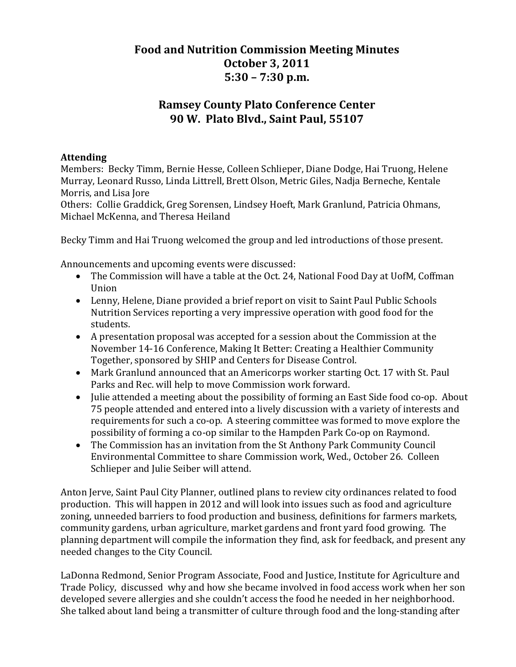## **Food and Nutrition Commission Meeting Minutes October 3, 2011 5:30 – 7:30 p.m.**

## **Ramsey County Plato Conference Center 90 W. Plato Blvd., Saint Paul, 55107**

## **Attending**

Members: Becky Timm, Bernie Hesse, Colleen Schlieper, Diane Dodge, Hai Truong, Helene Murray, Leonard Russo, Linda Littrell, Brett Olson, Metric Giles, Nadja Berneche, Kentale Morris, and Lisa Jore

Others: Collie Graddick, Greg Sorensen, Lindsey Hoeft, Mark Granlund, Patricia Ohmans, Michael McKenna, and Theresa Heiland

Becky Timm and Hai Truong welcomed the group and led introductions of those present.

Announcements and upcoming events were discussed:

- The Commission will have a table at the Oct. 24, National Food Day at UofM, Coffman Union
- Lenny, Helene, Diane provided a brief report on visit to Saint Paul Public Schools Nutrition Services reporting a very impressive operation with good food for the students.
- A presentation proposal was accepted for a session about the Commission at the November 14‐16 Conference, Making It Better: Creating a Healthier Community Together, sponsored by SHIP and Centers for Disease Control.
- Mark Granlund announced that an Americorps worker starting Oct. 17 with St. Paul Parks and Rec. will help to move Commission work forward.
- Julie attended a meeting about the possibility of forming an East Side food co-op. About 75 people attended and entered into a lively discussion with a variety of interests and requirements for such a co‐op. A steering committee was formed to move explore the possibility of forming a co‐op similar to the Hampden Park Co‐op on Raymond.
- The Commission has an invitation from the St Anthony Park Community Council Environmental Committee to share Commission work, Wed., October 26. Colleen Schlieper and Julie Seiber will attend.

Anton Jerve, Saint Paul City Planner, outlined plans to review city ordinances related to food production. This will happen in 2012 and will look into issues such as food and agriculture zoning, unneeded barriers to food production and business, definitions for farmers markets, community gardens, urban agriculture, market gardens and front yard food growing. The planning department will compile the information they find, ask for feedback, and present any needed changes to the City Council.

LaDonna Redmond, Senior Program Associate, Food and Justice, Institute for Agriculture and Trade Policy, discussed why and how she became involved in food access work when her son developed severe allergies and she couldn't access the food he needed in her neighborhood. She talked about land being a transmitter of culture through food and the long-standing after